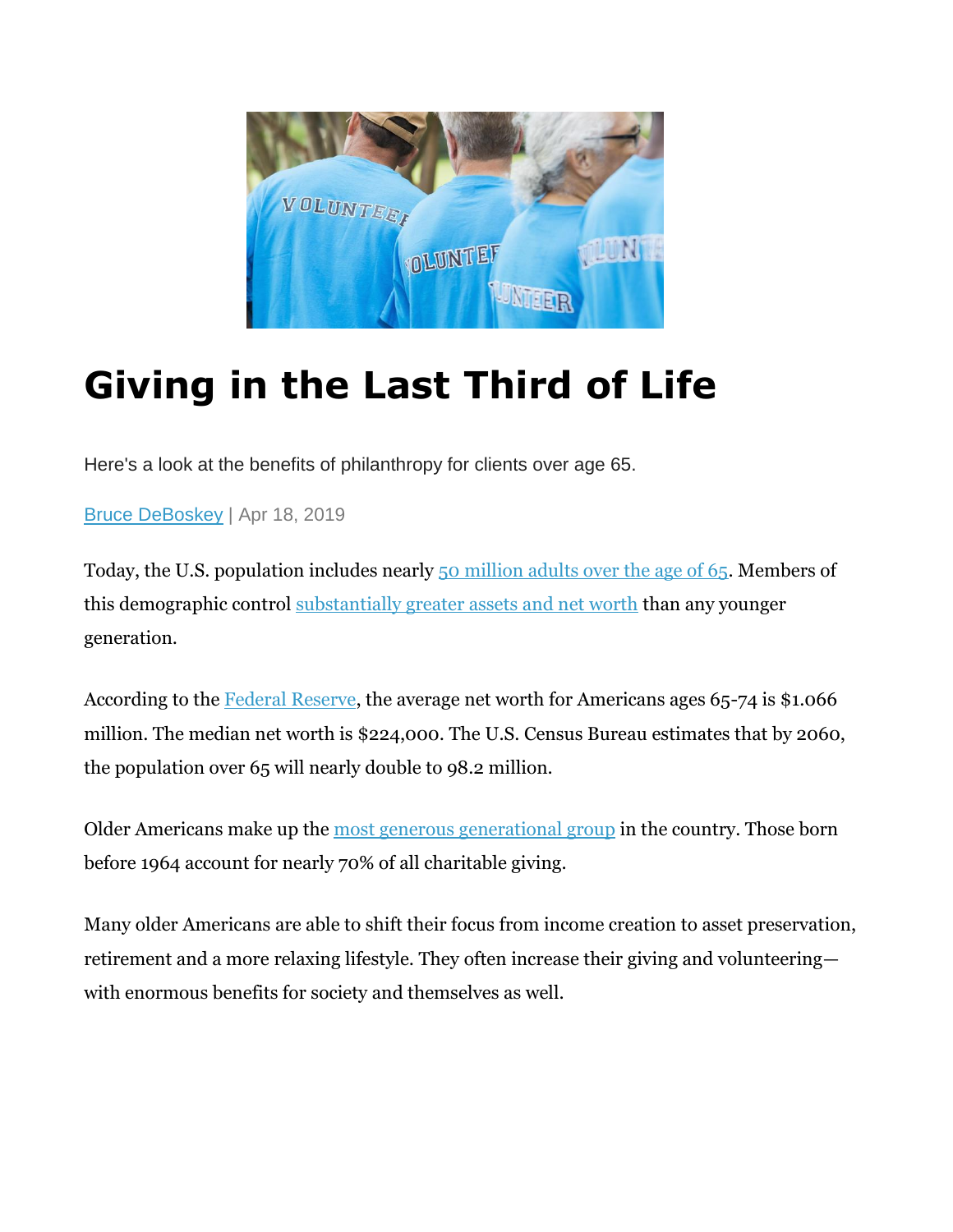

# **Giving in the Last Third of Life**

Here's a look at the benefits of philanthropy for clients over age 65.

[Bruce DeBoskey](https://www.wealthmanagement.com/author/Bruce-DeBoskey) | Apr 18, 2019

Today, the U.S. population includes nearly [50 million adults over the age of 65.](https://www.kff.org/other/state-indicator/distribution-by-age/?dataView=1¤tTimeframe=0&selectedDistributions=65&sortModel=%7B%22colId%22:%22Location%22,%22sort%22:%22asc%22%7D) Members of this demographic control [substantially greater assets and net worth](https://wallethacks.com/average-net-worth-by-age-americans/) than any younger generation.

According to the Federal [Reserve,](https://turbo.intuit.com/blog/real-money-talk/net-worth-by-age-704/) the average net worth for Americans ages 65-74 is \$1.066 million. The median net worth is \$224,000. The U.S. Census Bureau estimates that by 2060, the population over 65 will nearly double to 98.2 million.

Older Americans make up the [most generous generational group](https://givingusa.org/philanthropy-may-be-imperative-for-the-future-of-aging-services-2/) in the country. Those born before 1964 account for nearly 70% of all charitable giving.

Many older Americans are able to shift their focus from income creation to asset preservation, retirement and a more relaxing lifestyle. They often increase their giving and volunteering with enormous benefits for society and themselves as well.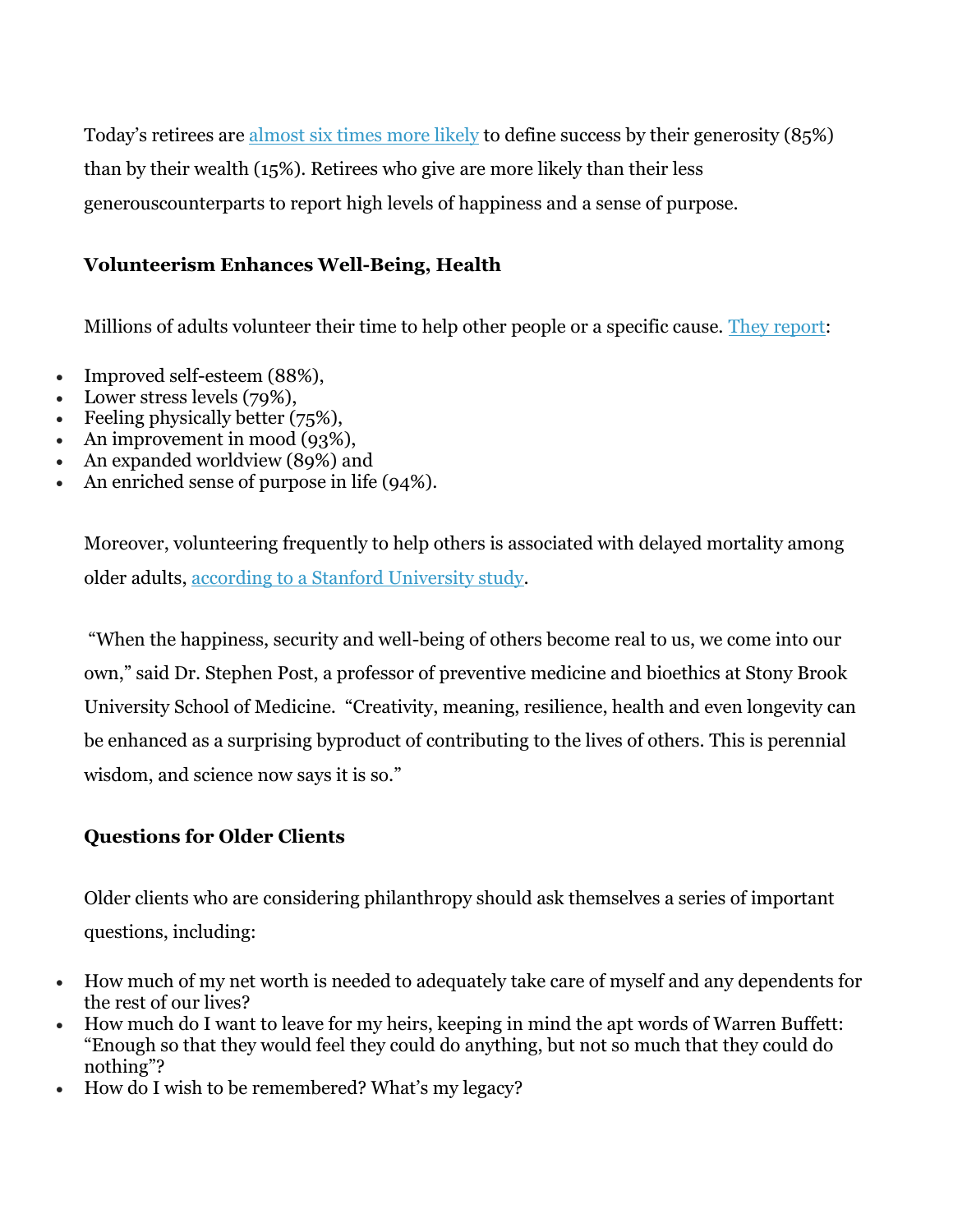Today's retirees are [almost six times more likely](https://www.investmentnews.com/article/20151220/FREE/312209997/giving-linked-to-happiness-in-seniors) to define success by their generosity (85%) than by their wealth (15%). Retirees who give are more likely than their less generouscounterparts to report high levels of happiness and a sense of purpose.

#### **Volunteerism Enhances Well-Being, Health**

Millions of adults volunteer their time to help other people or a specific cause. [They report:](https://newsroom.uhc.com/content/dam/newsroom/2017_VolunteerStudy_Summary_Web.pdf)

- Improved self-esteem (88%),
- Lower stress levels (79%),
- Feeling physically better (75%),
- An improvement in mood  $(93\%)$ ,
- An expanded worldview (89%) and
- $\bullet$  An enriched sense of purpose in life (94%).

Moreover, volunteering frequently to help others is associated with delayed mortality among older adults, [according to a Stanford University study.](https://journals.sagepub.com/doi/abs/10.1177/1359105305057310)

"When the happiness, security and well-being of others become real to us, we come into our own," said Dr. Stephen Post, a professor of preventive medicine and bioethics at Stony Brook University School of Medicine. "Creativity, meaning, resilience, health and even longevity can be enhanced as a surprising byproduct of contributing to the lives of others. This is perennial wisdom, and science now says it is so."

## **Questions for Older Clients**

Older clients who are considering philanthropy should ask themselves a series of important questions, including:

- How much of my net worth is needed to adequately take care of myself and any dependents for the rest of our lives?
- How much do I want to leave for my heirs, keeping in mind the apt words of Warren Buffett: "Enough so that they would feel they could do anything, but not so much that they could do nothing"?
- How do I wish to be remembered? What's my legacy?